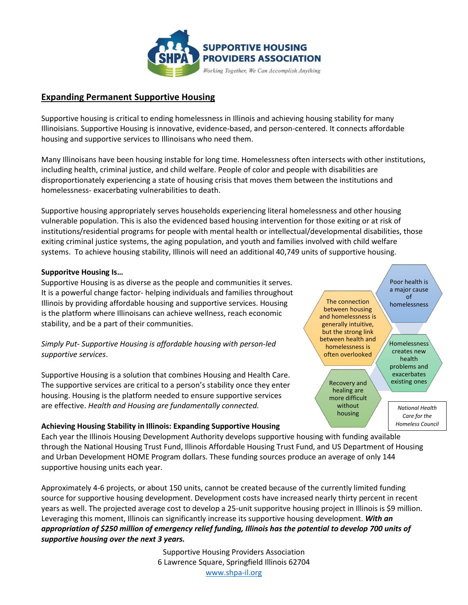

# **Expanding Permanent Supportive Housing**

Supportive housing is critical to ending homelessness in Illinois and achieving housing stability for many Illinoisians. Supportive Housing is innovative, evidence-based, and person-centered. It connects affordable housing and supportive services to Illinoisans who need them.

Many Illinoisans have been housing instable for long time. Homelessness often intersects with other institutions, including health, criminal justice, and child welfare. People of color and people with disabilities are disproportionately experiencing a state of housing crisis that moves them between the institutions and homelessness- exacerbating vulnerabilities to death.

Supportive housing appropriately serves households experiencing literal homelessness and other housing vulnerable population. This is also the evidenced based housing intervention for those exiting or at risk of institutions/residential programs for people with mental health or intellectual/developmental disabilities, those exiting criminal justice systems, the aging population, and youth and families involved with child welfare systems. To achieve housing stability, Illinois will need an additional 40,749 units of supportive housing.

## **Supporitve Housing Is…**

Supportive Housing is as diverse as the people and communities it serves. It is a powerful change factor- helping individuals and families throughout Illinois by providing affordable housing and supportive services. Housing is the platform where Illinoisans can achieve wellness, reach economic stability, and be a part of their communities.

## *Simply Put- Supportive Housing is affordable housing with person-led supportive services*.

Supportive Housing is a solution that combines Housing and Health Care. The supportive services are critical to a person's stability once they enter housing. Housing is the platform needed to ensure supportive services are effective. *Health and Housing are fundamentally connected.*

### **Achieving Housing Stability in Illinois: Expanding Supportive Housing**

Each year the Illinois Housing Development Authority develops supportive housing with funding available through the National Housing Trust Fund, Illinois Affordable Housing Trust Fund, and US Department of Housing and Urban Development HOME Program dollars. These funding sources produce an average of only 144 supportive housing units each year.

Approximately 4-6 projects, or about 150 units, cannot be created because of the currently limited funding source for supportive housing development. Development costs have increased nearly thirty percent in recent years as well. The projected average cost to develop a 25-unit supporitve housing project in Illinois is \$9 million. Leveraging this moment, Illinois can significantly increase its supportive housing development. *With an appropriation of \$250 million of emergency relief funding, Illinois has the potential to develop 700 units of supportive housing over the next 3 years.*

> Supportive Housing Providers Association 6 Lawrence Square, Springfield Illinois 62704 [www.shpa-il.org](http://www.shpa-il.org/)

The connection between housing and homelessness is generally intuitive, but the strong link between health and homelessness is often overlooked

> Recovery and  $\searrow$  existing ones healing are more difficult without housing

Poor health is a major cause of homelessness

Homelessness creates new health problems and exacerbates

*National Health Care for the Homeless Council*